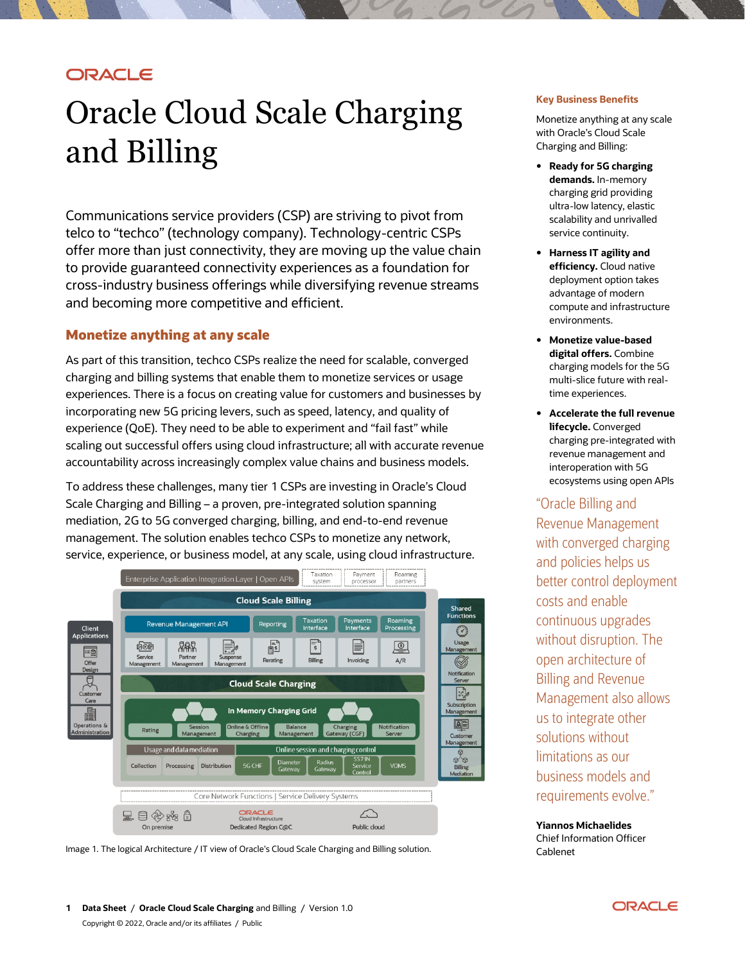# **ORACLE**

# Oracle Cloud Scale Charging and Billing

Communications service providers (CSP) are striving to pivot from telco to "techco" (technology company). Technology-centric CSPs offer more than just connectivity, they are moving up the value chain to provide guaranteed connectivity experiences as a foundation for cross-industry business offerings while diversifying revenue streams and becoming more competitive and efficient.

## **Monetize anything at any scale**

As part of this transition, techco CSPs realize the need for scalable, converged charging and billing systems that enable them to monetize services or usage experiences. There is a focus on creating value for customers and businesses by incorporating new 5G pricing levers, such as speed, latency, and quality of experience (QoE). They need to be able to experiment and "fail fast" while scaling out successful offers using cloud infrastructure; all with accurate revenue accountability across increasingly complex value chains and business models.

To address these challenges, many tier 1 CSPs are investing in Oracle's Cloud Scale Charging and Billing – a proven, pre-integrated solution spanning mediation, 2G to 5G converged charging, billing, and end-to-end revenue management. The solution enables techco CSPs to monetize any network, service, experience, or business model, at any scale, using cloud infrastructure.



Image 1. The logical Architecture / IT view of Oracle's Cloud Scale Charging and Billing solution.

#### **Key Business Benefits**

Monetize anything at any scale with Oracle's Cloud Scale Charging and Billing:

- **Ready for 5G charging demands.** In-memory charging grid providing ultra-low latency, elastic scalability and unrivalled service continuity.
- **Harness IT agility and efficiency.** Cloud native deployment option takes advantage of modern compute and infrastructure environments.
- **Monetize value-based digital offers.** Combine charging models for the 5G multi-slice future with realtime experiences.
- **Accelerate the full revenue lifecycle.** Converged charging pre-integrated with revenue management and interoperation with 5G ecosystems using open APIs

"Oracle Billing and Revenue Management with converged charging and policies helps us better control deployment costs and enable continuous upgrades without disruption. The open architecture of Billing and Revenue Management also allows us to integrate other solutions without limitations as our business models and requirements evolve."

**Yiannos Michaelides** Chief Information Officer Cablenet

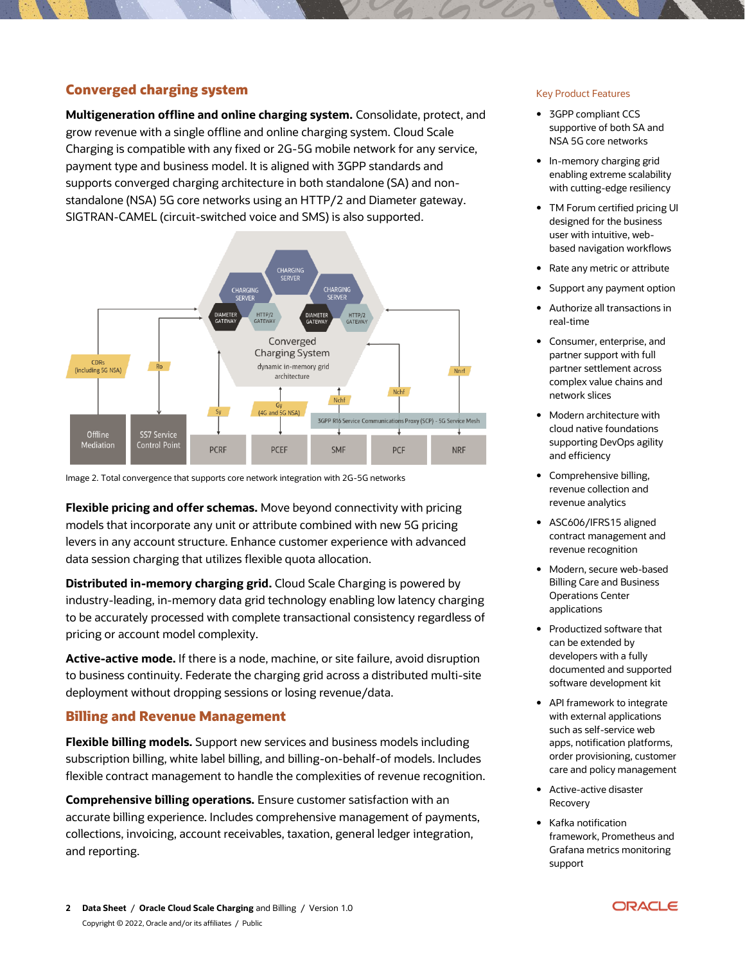# **Converged charging system**

**Multigeneration offline and online charging system.** Consolidate, protect, and grow revenue with a single offline and online charging system. Cloud Scale Charging is compatible with any fixed or 2G-5G mobile network for any service, payment type and business model. It is aligned with 3GPP standards and supports converged charging architecture in both standalone (SA) and nonstandalone (NSA) 5G core networks using an HTTP/2 and Diameter gateway. SIGTRAN-CAMEL (circuit-switched voice and SMS) is also supported.



Image 2. Total convergence that supports core network integration with 2G-5G networks

**Flexible pricing and offer schemas.** Move beyond connectivity with pricing models that incorporate any unit or attribute combined with new 5G pricing levers in any account structure. Enhance customer experience with advanced data session charging that utilizes flexible quota allocation.

**Distributed in-memory charging grid.** Cloud Scale Charging is powered by industry-leading, in-memory data grid technology enabling low latency charging to be accurately processed with complete transactional consistency regardless of pricing or account model complexity.

**Active-active mode.** If there is a node, machine, or site failure, avoid disruption to business continuity. Federate the charging grid across a distributed multi-site deployment without dropping sessions or losing revenue/data.

## **Billing and Revenue Management**

**Flexible billing models.** Support new services and business models including subscription billing, white label billing, and billing-on-behalf-of models. Includes flexible contract management to handle the complexities of revenue recognition.

**Comprehensive billing operations.** Ensure customer satisfaction with an accurate billing experience. Includes comprehensive management of payments, collections, invoicing, account receivables, taxation, general ledger integration, and reporting.

#### Key Product Features

- 3GPP compliant CCS supportive of both SA and NSA 5G core networks
- In-memory charging grid enabling extreme scalability with cutting-edge resiliency
- TM Forum certified pricing UI designed for the business user with intuitive, webbased navigation workflows
- Rate any metric or attribute
- Support any payment option
- Authorize all transactions in real-time
- Consumer, enterprise, and partner support with full partner settlement across complex value chains and network slices
- Modern architecture with cloud native foundations supporting DevOps agility and efficiency
- Comprehensive billing, revenue collection and revenue analytics
- ASC606/IFRS15 aligned contract management and revenue recognition
- Modern, secure web-based Billing Care and Business Operations Center applications
- Productized software that can be extended by developers with a fully documented and supported software development kit
- API framework to integrate with external applications such as self-service web apps, notification platforms, order provisioning, customer care and policy management
- Active-active disaster Recovery
- Kafka notification framework, Prometheus and Grafana metrics monitoring support

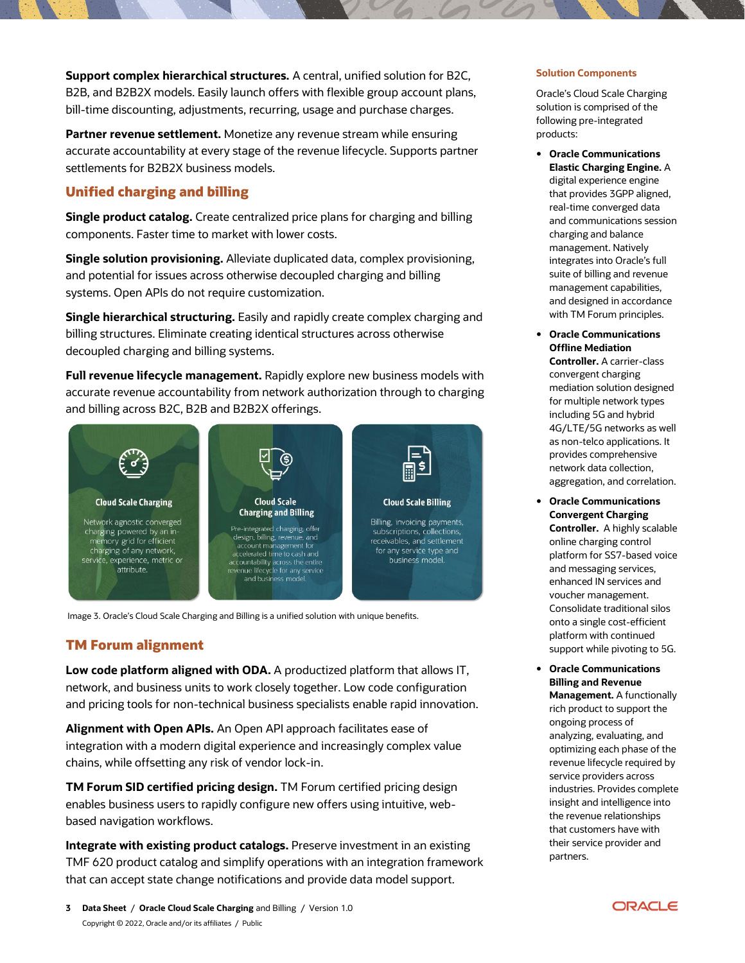**Support complex hierarchical structures.** A central, unified solution for B2C, B2B, and B2B2X models. Easily launch offers with flexible group account plans, bill-time discounting, adjustments, recurring, usage and purchase charges.

**Partner revenue settlement.** Monetize any revenue stream while ensuring accurate accountability at every stage of the revenue lifecycle. Supports partner settlements for B2B2X business models.

## **Unified charging and billing**

**Single product catalog.** Create centralized price plans for charging and billing components. Faster time to market with lower costs.

**Single solution provisioning.** Alleviate duplicated data, complex provisioning, and potential for issues across otherwise decoupled charging and billing systems. Open APIs do not require customization.

**Single hierarchical structuring.** Easily and rapidly create complex charging and billing structures. Eliminate creating identical structures across otherwise decoupled charging and billing systems.

**Full revenue lifecycle management.** Rapidly explore new business models with accurate revenue accountability from network authorization through to charging and billing across B2C, B2B and B2B2X offerings.



Image 3. Oracle's Cloud Scale Charging and Billing is a unified solution with unique benefits.

## **TM Forum alignment**

**Low code platform aligned with ODA.** A productized platform that allows IT, network, and business units to work closely together. Low code configuration and pricing tools for non-technical business specialists enable rapid innovation.

**Alignment with Open APIs.** An Open API approach facilitates ease of integration with a modern digital experience and increasingly complex value chains, while offsetting any risk of vendor lock-in.

**TM Forum SID certified pricing design.** TM Forum certified pricing design enables business users to rapidly configure new offers using intuitive, webbased navigation workflows.

**Integrate with existing product catalogs.** Preserve investment in an existing TMF 620 product catalog and simplify operations with an integration framework that can accept state change notifications and provide data model support.

#### **Solution Components**

Oracle's Cloud Scale Charging solution is comprised of the following pre-integrated products:

- **Oracle Communications Elastic Charging Engine.** A digital experience engine that provides 3GPP aligned, real-time converged data and communications session charging and balance management. Natively integrates into Oracle's full suite of billing and revenue management capabilities, and designed in accordance with TM Forum principles.
- **Oracle Communications Offline Mediation Controller.** A carrier-class convergent charging mediation solution designed for multiple network types including 5G and hybrid 4G/LTE/5G networks as well as non-telco applications. It provides comprehensive network data collection, aggregation, and correlation.
- **Oracle Communications Convergent Charging Controller.** A highly scalable online charging control platform for SS7-based voice and messaging services, enhanced IN services and voucher management. Consolidate traditional silos onto a single cost-efficient platform with continued support while pivoting to 5G.
- **Oracle Communications Billing and Revenue Management.** A functionally rich product to support the ongoing process of analyzing, evaluating, and optimizing each phase of the revenue lifecycle required by service providers across industries. Provides complete insight and intelligence into the revenue relationships that customers have with their service provider and partners.